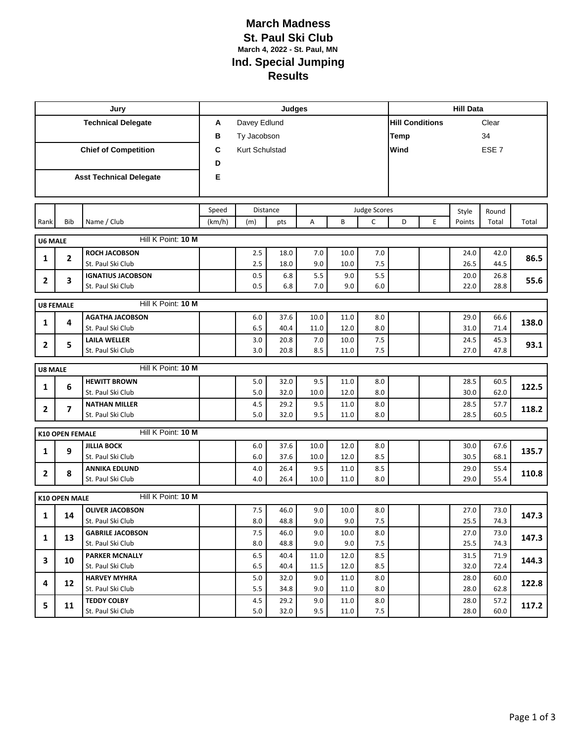## **March Madness St. Paul Ski Club March 4, 2022 - St. Paul, MN Ind. Special Jumping Results**

|                             |                          | Jury                                    | Judges |                |                 |      |                          |                     |                        | <b>Hill Data</b> |        |       |       |  |  |
|-----------------------------|--------------------------|-----------------------------------------|--------|----------------|-----------------|------|--------------------------|---------------------|------------------------|------------------|--------|-------|-------|--|--|
| <b>Technical Delegate</b>   |                          |                                         | A      | Davey Edlund   |                 |      |                          |                     | <b>Hill Conditions</b> |                  |        | Clear |       |  |  |
|                             |                          |                                         | в      | Ty Jacobson    |                 |      |                          |                     | <b>Temp</b><br>34      |                  |        |       |       |  |  |
| <b>Chief of Competition</b> |                          |                                         | C      | Kurt Schulstad |                 |      | Wind<br>ESE <sub>7</sub> |                     |                        |                  |        |       |       |  |  |
|                             |                          |                                         | D      |                |                 |      |                          |                     |                        |                  |        |       |       |  |  |
|                             |                          | <b>Asst Technical Delegate</b>          | Е      |                |                 |      |                          |                     |                        |                  |        |       |       |  |  |
|                             |                          |                                         |        |                |                 |      |                          |                     |                        |                  |        |       |       |  |  |
|                             |                          |                                         |        |                |                 |      |                          |                     |                        |                  |        |       |       |  |  |
|                             |                          |                                         | Speed  |                | <b>Distance</b> |      |                          | <b>Judge Scores</b> |                        |                  | Style  | Round |       |  |  |
| Rank                        | Bib                      | Name / Club                             | (km/h) | (m)            | pts             | Α    | B                        | $\mathsf{C}$        | D                      | E                | Points | Total | Total |  |  |
| <b>U6 MALE</b>              |                          | Hill K Point: 10 M                      |        |                |                 |      |                          |                     |                        |                  |        |       |       |  |  |
|                             |                          | ROCH JACOBSON                           |        | 2.5            | 18.0            | 7.0  | 10.0                     | 7.0                 |                        |                  | 24.0   | 42.0  |       |  |  |
| 1                           | 2                        | St. Paul Ski Club                       |        | 2.5            | 18.0            | 9.0  | 10.0                     | 7.5                 |                        |                  | 26.5   | 44.5  | 86.5  |  |  |
| 2                           | 3                        | <b>IGNATIUS JACOBSON</b>                |        | 0.5            | 6.8             | 5.5  | 9.0                      | 5.5                 |                        |                  | 20.0   | 26.8  | 55.6  |  |  |
|                             |                          | St. Paul Ski Club                       |        | 0.5            | 6.8             | 7.0  | 9.0                      | 6.0                 |                        |                  | 22.0   | 28.8  |       |  |  |
|                             | <b>U8 FEMALE</b>         | Hill K Point: 10 M                      |        |                |                 |      |                          |                     |                        |                  |        |       |       |  |  |
|                             |                          | <b>AGATHA JACOBSON</b>                  |        | 6.0            | 37.6            | 10.0 | 11.0                     | 8.0                 |                        |                  | 29.0   | 66.6  |       |  |  |
| 1                           | 4                        | St. Paul Ski Club                       |        | 6.5            | 40.4            | 11.0 | 12.0                     | 8.0                 |                        |                  | 31.0   | 71.4  | 138.0 |  |  |
|                             |                          | <b>LAILA WELLER</b>                     |        | 3.0            | 20.8            | 7.0  | 10.0                     | 7.5                 |                        |                  | 24.5   | 45.3  | 93.1  |  |  |
| $\overline{2}$              | 5                        | St. Paul Ski Club                       |        | 3.0            | 20.8            | 8.5  | 11.0                     | 7.5                 |                        |                  | 27.0   | 47.8  |       |  |  |
| <b>U8 MALE</b>              |                          | Hill K Point: 10 M                      |        |                |                 |      |                          |                     |                        |                  |        |       |       |  |  |
|                             |                          | <b>HEWITT BROWN</b>                     |        | 5.0            | 32.0            | 9.5  | 11.0                     | 8.0                 |                        |                  | 28.5   | 60.5  |       |  |  |
| 1                           | 6                        | St. Paul Ski Club                       |        | 5.0            | 32.0            | 10.0 | 12.0                     | 8.0                 |                        |                  | 30.0   | 62.0  | 122.5 |  |  |
|                             | $\overline{\phantom{a}}$ | <b>NATHAN MILLER</b>                    |        | 4.5            | 29.2            | 9.5  | 11.0                     | 8.0                 |                        |                  | 28.5   | 57.7  | 118.2 |  |  |
| $\mathbf{2}$                |                          | St. Paul Ski Club                       |        | 5.0            | 32.0            | 9.5  | 11.0                     | 8.0                 |                        |                  | 28.5   | 60.5  |       |  |  |
|                             | <b>K10 OPEN FEMALE</b>   | Hill K Point: 10 M                      |        |                |                 |      |                          |                     |                        |                  |        |       |       |  |  |
|                             |                          | <b>JILLIA BOCK</b>                      |        | 6.0            | 37.6            | 10.0 | 12.0                     | 8.0                 |                        |                  | 30.0   | 67.6  |       |  |  |
| 1                           | 9                        | St. Paul Ski Club                       |        | 6.0            | 37.6            | 10.0 | 12.0                     | 8.5                 |                        |                  | 30.5   | 68.1  | 135.7 |  |  |
|                             |                          | <b>ANNIKA EDLUND</b>                    |        | 4.0            | 26.4            | 9.5  | 11.0                     | 8.5                 |                        |                  | 29.0   | 55.4  |       |  |  |
| $\mathbf{2}$                | 8                        | St. Paul Ski Club                       |        | 4.0            | 26.4            | 10.0 | 11.0                     | 8.0                 |                        |                  | 29.0   | 55.4  | 110.8 |  |  |
|                             | <b>K10 OPEN MALE</b>     | Hill K Point: 10 M                      |        |                |                 |      |                          |                     |                        |                  |        |       |       |  |  |
|                             |                          | <b>OLIVER JACOBSON</b>                  |        | 7.5            | 46.0            | 9.0  | 10.0                     | 8.0                 |                        |                  | 27.0   | 73.0  |       |  |  |
| $\mathbf{1}$                | 14                       | St. Paul Ski Club                       |        | 8.0            | 48.8            | 9.0  | 9.0                      | 7.5                 |                        |                  | 25.5   | 74.3  | 147.3 |  |  |
|                             |                          | <b>GABRILE JACOBSON</b>                 |        | 7.5            | 46.0            | 9.0  | 10.0                     | 8.0                 |                        |                  | 27.0   | 73.0  |       |  |  |
| 1                           | 13                       | St. Paul Ski Club                       |        | 8.0            | 48.8            | 9.0  | 9.0                      | 7.5                 |                        |                  | 25.5   | 74.3  | 147.3 |  |  |
| 3                           | 10                       | <b>PARKER MCNALLY</b>                   |        | 6.5            | 40.4            | 11.0 | 12.0                     | 8.5                 |                        |                  | 31.5   | 71.9  | 144.3 |  |  |
|                             |                          | St. Paul Ski Club                       |        | 6.5            | 40.4            | 11.5 | 12.0                     | 8.5                 |                        |                  | 32.0   | 72.4  |       |  |  |
| 4                           | 12                       | <b>HARVEY MYHRA</b>                     |        | 5.0            | 32.0            | 9.0  | 11.0                     | 8.0                 |                        |                  | 28.0   | 60.0  | 122.8 |  |  |
|                             |                          | St. Paul Ski Club                       |        | 5.5            | 34.8            | 9.0  | 11.0                     | 8.0                 |                        |                  | 28.0   | 62.8  |       |  |  |
| 5                           | 11                       | <b>TEDDY COLBY</b><br>St. Paul Ski Club |        | 4.5            | 29.2            | 9.0  | 11.0                     | 8.0                 |                        |                  | 28.0   | 57.2  | 117.2 |  |  |
|                             |                          |                                         |        | 5.0            | 32.0            | 9.5  | 11.0                     | 7.5                 |                        |                  | 28.0   | 60.0  |       |  |  |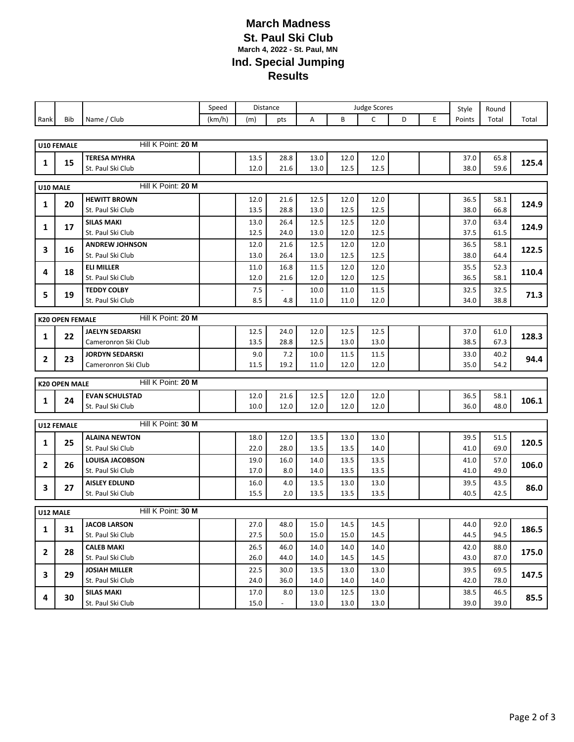## **March Madness St. Paul Ski Club March 4, 2022 - St. Paul, MN Ind. Special Jumping Results**

|              |                                              |                                        | Speed  |             | Distance               |              |              |              | <b>Judge Scores</b> |   | Style        | Round        |       |  |
|--------------|----------------------------------------------|----------------------------------------|--------|-------------|------------------------|--------------|--------------|--------------|---------------------|---|--------------|--------------|-------|--|
| Rank         | <b>Bib</b>                                   | Name / Club                            | (km/h) | (m)         | pts                    | Α            | B            | C            | D                   | E | Points       | Total        | Total |  |
|              |                                              |                                        |        |             |                        |              |              |              |                     |   |              |              |       |  |
|              | U10 FEMALE                                   | Hill K Point: 20 M                     |        |             |                        |              |              |              |                     |   |              |              |       |  |
| 1            | 15                                           | <b>TERESA MYHRA</b>                    |        | 13.5        | 28.8                   | 13.0         | 12.0         | 12.0         |                     |   | 37.0         | 65.8         | 125.4 |  |
|              |                                              | St. Paul Ski Club                      |        | $12.0\,$    | 21.6                   | 13.0         | 12.5         | 12.5         |                     |   | 38.0         | 59.6         |       |  |
|              | Hill K Point: 20 M<br>U10 MALE               |                                        |        |             |                        |              |              |              |                     |   |              |              |       |  |
|              |                                              | <b>HEWITT BROWN</b>                    |        | 12.0        | 21.6                   | 12.5         | 12.0         | 12.0         |                     |   | 36.5         | 58.1         |       |  |
| 1            | 20                                           | St. Paul Ski Club                      |        | 13.5        | 28.8                   | 13.0         | 12.5         | 12.5         |                     |   | 38.0         | 66.8         | 124.9 |  |
| 1            | 17                                           | <b>SILAS MAKI</b>                      |        | 13.0        | 26.4                   | 12.5         | 12.5         | 12.0         |                     |   | 37.0         | 63.4         | 124.9 |  |
|              |                                              | St. Paul Ski Club                      |        | 12.5        | 24.0                   | 13.0         | 12.0         | 12.5         |                     |   | 37.5         | 61.5         |       |  |
| 3            | 16                                           | <b>ANDREW JOHNSON</b>                  |        | 12.0        | 21.6                   | 12.5         | 12.0         | 12.0         |                     |   | 36.5         | 58.1         | 122.5 |  |
|              |                                              | St. Paul Ski Club                      |        | 13.0        | 26.4                   | 13.0         | 12.5         | 12.5         |                     |   | 38.0         | 64.4         |       |  |
| 4            | 18                                           | <b>ELI MILLER</b><br>St. Paul Ski Club |        | 11.0        | 16.8                   | 11.5         | 12.0         | 12.0         |                     |   | 35.5<br>36.5 | 52.3<br>58.1 | 110.4 |  |
|              |                                              | <b>TEDDY COLBY</b>                     |        | 12.0<br>7.5 | 21.6<br>$\overline{a}$ | 12.0<br>10.0 | 12.0<br>11.0 | 12.5<br>11.5 |                     |   | 32.5         | 32.5         |       |  |
| 5            | 19                                           | St. Paul Ski Club                      |        | 8.5         | 4.8                    | 11.0         | 11.0         | 12.0         |                     |   | 34.0         | 38.8         | 71.3  |  |
|              |                                              |                                        |        |             |                        |              |              |              |                     |   |              |              |       |  |
|              | Hill K Point: 20 M<br><b>K20 OPEN FEMALE</b> |                                        |        |             |                        |              |              |              |                     |   |              |              |       |  |
| 1            | 22                                           | <b>JAELYN SEDARSKI</b>                 |        | 12.5        | 24.0                   | 12.0         | 12.5         | 12.5         |                     |   | 37.0         | 61.0         | 128.3 |  |
|              |                                              | Cameronron Ski Club                    |        | 13.5        | 28.8                   | 12.5         | 13.0         | 13.0         |                     |   | 38.5         | 67.3         |       |  |
| $\mathbf{2}$ | 23                                           | <b>JORDYN SEDARSKI</b>                 |        | 9.0         | 7.2                    | 10.0         | 11.5         | 11.5         |                     |   | 33.0         | 40.2         | 94.4  |  |
|              |                                              | Cameronron Ski Club                    |        | 11.5        | 19.2                   | 11.0         | 12.0         | 12.0         |                     |   | 35.0         | 54.2         |       |  |
|              | <b>K20 OPEN MALE</b>                         | Hill K Point: 20 M                     |        |             |                        |              |              |              |                     |   |              |              |       |  |
| 1            | 24                                           | <b>EVAN SCHULSTAD</b>                  |        | 12.0        | 21.6                   | 12.5         | 12.0         | 12.0         |                     |   | 36.5         | 58.1         | 106.1 |  |
|              |                                              | St. Paul Ski Club                      |        | 10.0        | 12.0                   | 12.0         | 12.0         | 12.0         |                     |   | 36.0         | 48.0         |       |  |
|              | U12 FEMALE                                   | Hill K Point: 30 M                     |        |             |                        |              |              |              |                     |   |              |              |       |  |
|              |                                              | <b>ALAINA NEWTON</b>                   |        | 18.0        | 12.0                   | 13.5         | 13.0         | 13.0         |                     |   | 39.5         | 51.5         |       |  |
| 1            | 25                                           | St. Paul Ski Club                      |        | 22.0        | 28.0                   | 13.5         | 13.5         | 14.0         |                     |   | 41.0         | 69.0         | 120.5 |  |
|              |                                              | <b>LOUISA JACOBSON</b>                 |        | 19.0        | 16.0                   | 14.0         | 13.5         | 13.5         |                     |   | 41.0         | 57.0         |       |  |
| $\mathbf{2}$ | 26                                           | St. Paul Ski Club                      |        | 17.0        | 8.0                    | 14.0         | 13.5         | 13.5         |                     |   | 41.0         | 49.0         | 106.0 |  |
| з            | 27                                           | <b>AISLEY EDLUND</b>                   |        | 16.0        | 4.0                    | 13.5         | 13.0         | 13.0         |                     |   | 39.5         | 43.5         | 86.0  |  |
|              |                                              | St. Paul Ski Club                      |        | 15.5        | 2.0                    | 13.5         | 13.5         | 13.5         |                     |   | 40.5         | 42.5         |       |  |
| U12 MALE     |                                              | Hill K Point: 30 M                     |        |             |                        |              |              |              |                     |   |              |              |       |  |
|              |                                              | <b>JACOB LARSON</b>                    |        | 27.0        | 48.0                   | 15.0         | 14.5         | 14.5         |                     |   | 44.0         | 92.0         |       |  |
| 1            | 31                                           | St. Paul Ski Club                      |        | 27.5        | 50.0                   | 15.0         | 15.0         | 14.5         |                     |   | 44.5         | 94.5         | 186.5 |  |
|              |                                              | <b>CALEB MAKI</b>                      |        | 26.5        | 46.0                   | 14.0         | 14.0         | 14.0         |                     |   | 42.0         | 88.0         |       |  |
| $\mathbf{2}$ | 28                                           | St. Paul Ski Club                      |        | 26.0        | 44.0                   | 14.0         | 14.5         | 14.5         |                     |   | 43.0         | 87.0         | 175.0 |  |
| 3            | 29                                           | <b>JOSIAH MILLER</b>                   |        | 22.5        | 30.0                   | 13.5         | 13.0         | 13.0         |                     |   | 39.5         | 69.5         | 147.5 |  |
|              |                                              | St. Paul Ski Club                      |        | 24.0        | 36.0                   | 14.0         | 14.0         | 14.0         |                     |   | 42.0         | 78.0         |       |  |
| 4            | 30                                           | <b>SILAS MAKI</b>                      |        | 17.0        | 8.0                    | 13.0         | 12.5         | 13.0         |                     |   | 38.5         | 46.5         | 85.5  |  |
|              |                                              | St. Paul Ski Club                      |        | 15.0        | $\frac{1}{2}$          | 13.0         | 13.0         | 13.0         |                     |   | 39.0         | 39.0         |       |  |